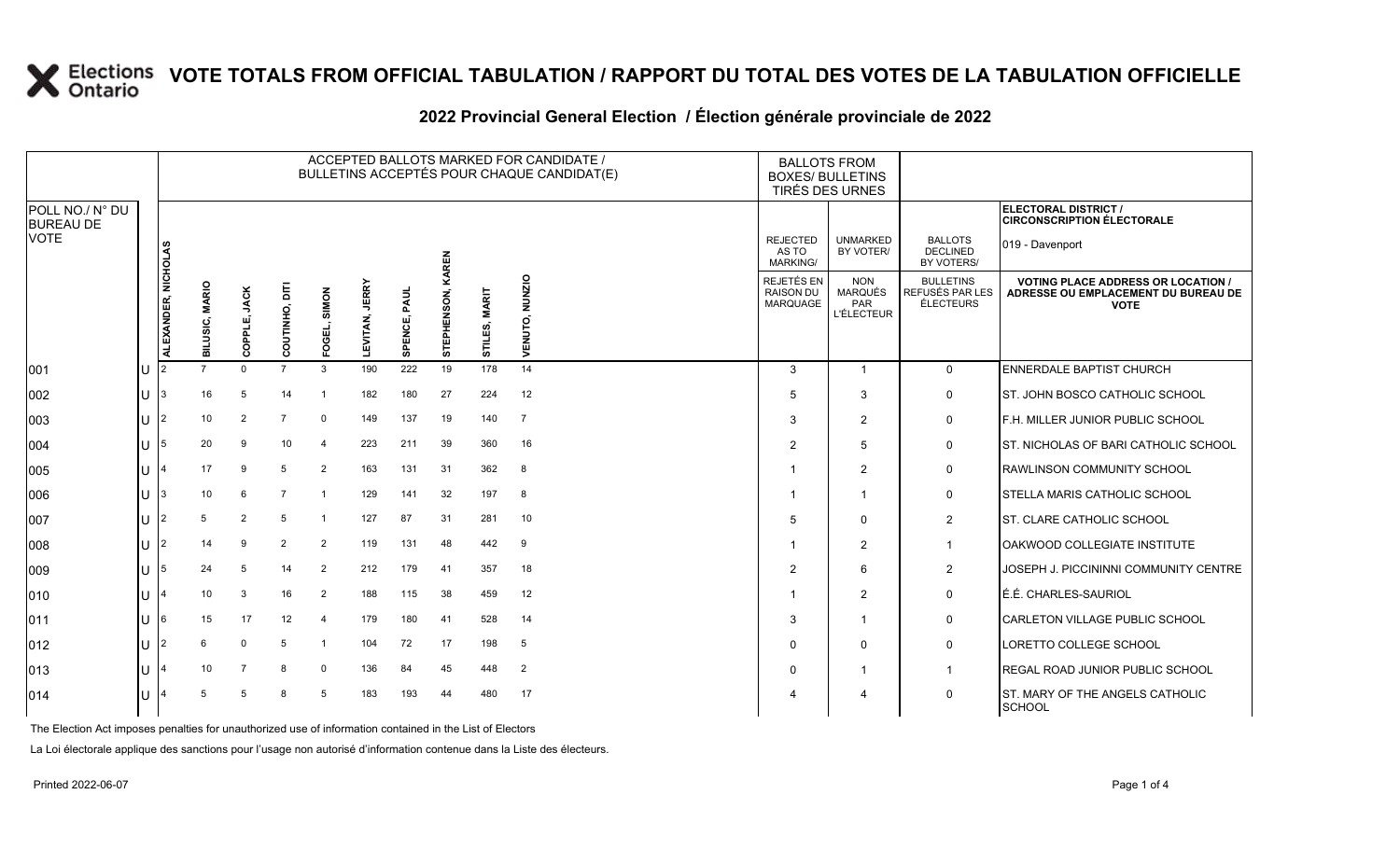### **WOTE TOTALS FROM OFFICIAL TABULATION / RAPPORT DU TOTAL DES VOTES DE LA TABULATION OFFICIELLE**

|                                                    |    |                    |                          |                |                 |                 |                          |                 |              |               | ACCEPTED BALLOTS MARKED FOR CANDIDATE /<br>BULLETINS ACCEPTÉS POUR CHAQUE CANDIDAT(E) | <b>BALLOTS FROM</b><br><b>BOXES/ BULLETINS</b><br>TIRÉS DES URNES |                                                          |                                                  |                                                                                                 |
|----------------------------------------------------|----|--------------------|--------------------------|----------------|-----------------|-----------------|--------------------------|-----------------|--------------|---------------|---------------------------------------------------------------------------------------|-------------------------------------------------------------------|----------------------------------------------------------|--------------------------------------------------|-------------------------------------------------------------------------------------------------|
| POLL NO./ N° DU<br><b>BUREAU DE</b><br><b>VOTE</b> |    |                    |                          |                |                 |                 |                          |                 |              |               |                                                                                       |                                                                   |                                                          |                                                  | ELECTORAL DISTRICT /<br><b>CIRCONSCRIPTION ÉLECTORALE</b>                                       |
|                                                    |    | ၊ ဟ                |                          |                |                 |                 |                          |                 | <b>KAREN</b> |               |                                                                                       | <b>REJECTED</b><br>AS TO<br><b>MARKING/</b>                       | <b>UNMARKED</b><br>BY VOTER/                             | <b>BALLOTS</b><br><b>DECLINED</b><br>BY VOTERS/  | 019 - Davenport                                                                                 |
|                                                    |    | ALEXANDER, NICHOLA | <b>MARIO</b><br>BILUSIC, | COPPLE, JACK   | Ë<br>COUTINHO,  | SIMON<br>FOGEL, | <b>JERRY</b><br>LEVITAN, | PAUL<br>SPENCE, | STEPHENSON,  | STILES, MARIT | NUNZIO<br>VENUTO,                                                                     | <b>REJETÉS EN</b><br><b>RAISON DU</b><br>MARQUAGE                 | <b>NON</b><br><b>MARQUÉS</b><br>PAR<br><b>L'ÉLECTEUR</b> | <b>BULLETINS</b><br>REFUSÉS PAR LES<br>ÉLECTEURS | <b>VOTING PLACE ADDRESS OR LOCATION /</b><br>ADRESSE OU EMPLACEMENT DU BUREAU DE<br><b>VOTE</b> |
| 001                                                | IU | 12                 |                          | $\Omega$       | $\overline{7}$  | 3               | 190                      | 222             | 19           | 178           | 14                                                                                    | 3                                                                 | $\overline{1}$                                           | $\mathbf 0$                                      | ENNERDALE BAPTIST CHURCH                                                                        |
| 002                                                | IU | 13                 | 16                       | 5              | 14              | -1              | 182                      | 180             | 27           | 224           | 12                                                                                    | .5                                                                | 3                                                        | $\mathbf 0$                                      | <b>IST. JOHN BOSCO CATHOLIC SCHOOL</b>                                                          |
| 003                                                | IU | 12                 | 10                       | $\overline{2}$ |                 | $\Omega$        | 149                      | 137             | 19           | 140           | $\overline{7}$                                                                        | 3                                                                 | $\overline{2}$                                           | $\mathbf 0$                                      | F.H. MILLER JUNIOR PUBLIC SCHOOL                                                                |
| 004                                                | IU | 15                 | 20                       | 9              | 10 <sup>°</sup> | $\overline{4}$  | 223                      | 211             | 39           | 360           | 16                                                                                    | $\overline{2}$                                                    | 5                                                        | 0                                                | ST. NICHOLAS OF BARI CATHOLIC SCHOOL                                                            |
| 005                                                | IU |                    | 17                       | 9              | 5               | 2               | 163                      | 131             | 31           | 362           | 8                                                                                     |                                                                   | 2                                                        | $\mathbf 0$                                      | <b>RAWLINSON COMMUNITY SCHOOL</b>                                                               |
| 006                                                | IU | 13                 | 10                       | 6              | $\overline{7}$  |                 | 129                      | 141             | 32           | 197           | 8                                                                                     |                                                                   | -1                                                       | 0                                                | <b>STELLA MARIS CATHOLIC SCHOOL</b>                                                             |
| 007                                                | ΙU | 12                 | 5                        | 2              | 5               |                 | 127                      | 87              | 31           | 281           | 10                                                                                    | .5                                                                | $\Omega$                                                 | $\overline{2}$                                   | <b>I</b> ST. CLARE CATHOLIC SCHOOL                                                              |
| 008                                                | IU |                    | 14                       | 9              | 2               | $\overline{2}$  | 119                      | 131             | 48           | 442           | 9                                                                                     |                                                                   | 2                                                        | $\overline{1}$                                   | OAKWOOD COLLEGIATE INSTITUTE                                                                    |
| 009                                                | IU | 15                 | 24                       | 5              | 14              | $\overline{2}$  | 212                      | 179             | 41           | 357           | 18                                                                                    | $\overline{2}$                                                    | 6                                                        | 2                                                | <b>JOSEPH J. PICCININNI COMMUNITY CENTRE</b>                                                    |
| 010                                                | IU |                    | 10                       | 3              | 16              | $\overline{2}$  | 188                      | 115             | 38           | 459           | 12                                                                                    |                                                                   | 2                                                        | 0                                                | É.É. CHARLES-SAURIOL                                                                            |
| 011                                                | IU | 16                 | 15                       | 17             | 12              | $\overline{4}$  | 179                      | 180             | 41           | 528           | 14                                                                                    | 3                                                                 | $\overline{\mathbf{1}}$                                  | 0                                                | CARLETON VILLAGE PUBLIC SCHOOL                                                                  |
| 012                                                | Ш  | 12                 | 6                        | $\Omega$       | 5               |                 | 104                      | 72              | 17           | 198           | 5                                                                                     | $\Omega$                                                          | $\Omega$                                                 | 0                                                | LORETTO COLLEGE SCHOOL                                                                          |
| 013                                                | IU |                    | 10                       | $\overline{7}$ | 8               | $\mathbf 0$     | 136                      | 84              | 45           | 448           | $\overline{2}$                                                                        | $\Omega$                                                          |                                                          | $\mathbf 1$                                      | <b>REGAL ROAD JUNIOR PUBLIC SCHOOL</b>                                                          |
| 014                                                | Ш  |                    | -5                       | 5              | 8               | 5               | 183                      | 193             | 44           | 480           | 17                                                                                    |                                                                   | 4                                                        | 0                                                | ST. MARY OF THE ANGELS CATHOLIC<br>SCHOOL                                                       |

#### 2022 Provincial General Election / Election générale provinciale de 2022

The Election Act imposes penalties for unauthorized use of information contained in the List of Electors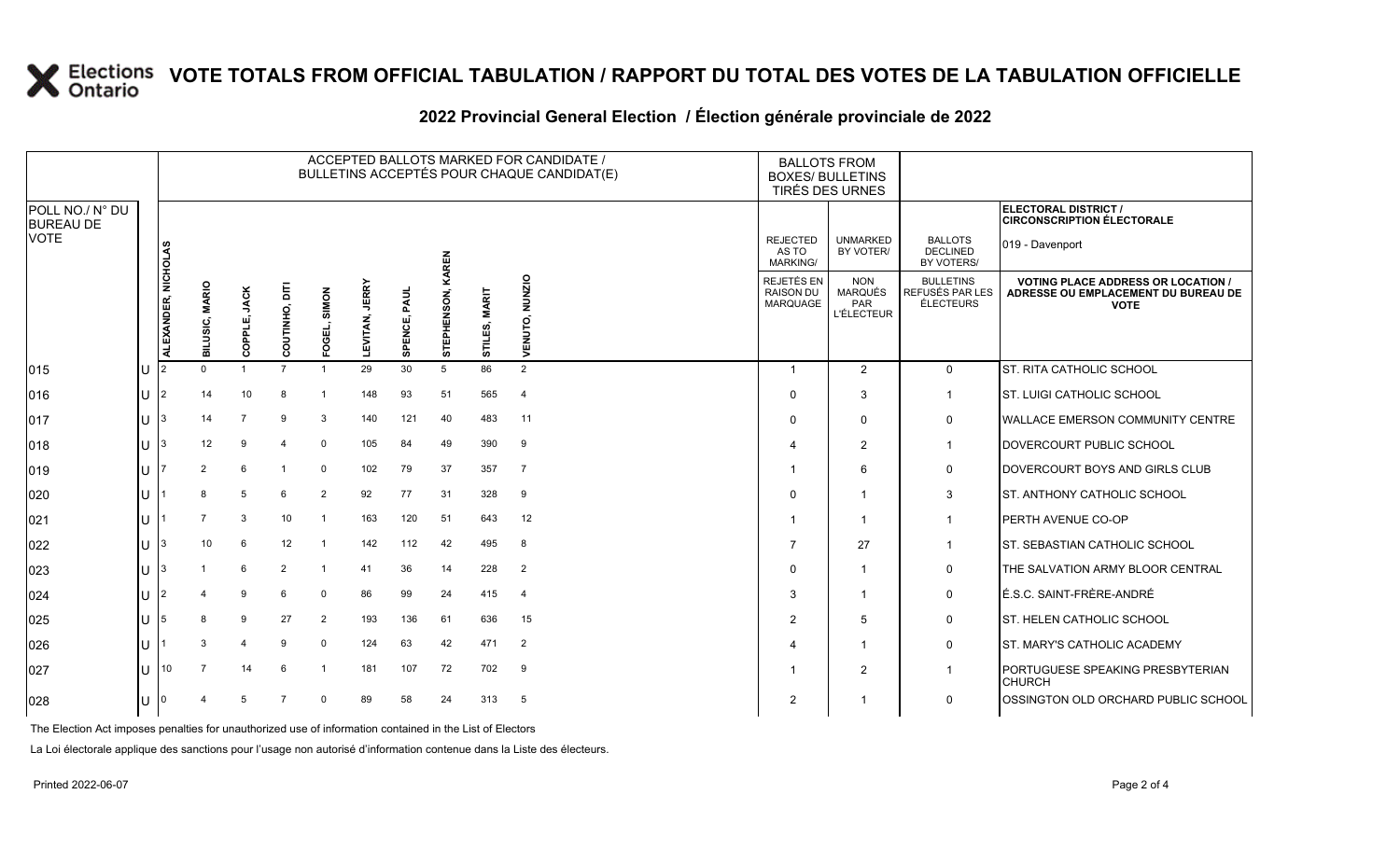# **X** Elections VOTE TOTALS FROM OFFICIAL TABULATION / RAPPORT DU TOTAL DES VOTES DE LA TABULATION OFFICIELLE

|                                             |    |                    |                              |                        |                |                  |                          |              |              |                         | ACCEPTED BALLOTS MARKED FOR CANDIDATE /<br>BULLETINS ACCEPTÉS POUR CHAQUE CANDIDAT(E) | <b>BALLOTS FROM</b><br><b>BOXES/ BULLETINS</b>    | <b>TIRÉS DES URNES</b>                                   |                                                  |                                                                                                 |
|---------------------------------------------|----|--------------------|------------------------------|------------------------|----------------|------------------|--------------------------|--------------|--------------|-------------------------|---------------------------------------------------------------------------------------|---------------------------------------------------|----------------------------------------------------------|--------------------------------------------------|-------------------------------------------------------------------------------------------------|
| POLL NO./ N° DU<br><b>BUREAU DE</b><br>VOTE |    |                    |                              |                        |                |                  |                          |              |              |                         |                                                                                       |                                                   |                                                          |                                                  | ELECTORAL DISTRICT /<br><b>CIRCONSCRIPTION ÉLECTORALE</b>                                       |
|                                             |    | ဟ                  |                              |                        |                |                  |                          |              | <b>KAREN</b> |                         |                                                                                       | <b>REJECTED</b><br>AS TO<br>MARKING/              | <b>UNMARKED</b><br>BY VOTER/                             | <b>BALLOTS</b><br><b>DECLINED</b><br>BY VOTERS/  | 019 - Davenport                                                                                 |
|                                             |    | ALEXANDER, NICHOLA | <b>MARIO</b><br>ILUSIC,<br>ᆱ | <b>JACK</b><br>COPPLE, | COUTINHO, DITI | SIMON<br>군<br>၉၀ | <b>JERRY</b><br>LEVITAN, | SPENCE, PAUL | STEPHENSON,  | <b>MARIT</b><br>STILES, | NUNZIO<br>ENUTO,<br>>                                                                 | REJETÉS EN<br><b>RAISON DU</b><br><b>MARQUAGE</b> | <b>NON</b><br><b>MARQUÉS</b><br>PAR<br><b>L'ÉLECTEUR</b> | <b>BULLETINS</b><br>REFUSÉS PAR LES<br>ÉLECTEURS | <b>VOTING PLACE ADDRESS OR LOCATION /</b><br>ADRESSE OU EMPLACEMENT DU BUREAU DE<br><b>VOTE</b> |
| 015                                         | IU | I2                 | $\Omega$                     | $\overline{1}$         | $\overline{7}$ |                  | 29                       | 30           | 5            | 86                      | 2                                                                                     | $\overline{\mathbf{1}}$                           | 2                                                        | $\mathbf{0}$                                     | <b>ST. RITA CATHOLIC SCHOOL</b>                                                                 |
| 016                                         | IU | 12                 | 14                           | 10                     | 8              |                  | 148                      | 93           | 51           | 565                     | $\overline{4}$                                                                        | $\Omega$                                          | 3                                                        | $\mathbf{1}$                                     | <b>ST. LUIGI CATHOLIC SCHOOL</b>                                                                |
| 017                                         | ΙU |                    | 14                           | $\overline{7}$         | 9              | 3                | 140                      | 121          | 40           | 483                     | 11                                                                                    | $\Omega$                                          | $\mathbf 0$                                              | 0                                                | <b>WALLACE EMERSON COMMUNITY CENTRE</b>                                                         |
| 018                                         | IU | l3                 | 12                           | 9                      | 4              | $\mathbf 0$      | 105                      | 84           | 49           | 390                     | 9                                                                                     | 4                                                 | $\overline{2}$                                           | $\mathbf{1}$                                     | DOVERCOURT PUBLIC SCHOOL                                                                        |
| 019                                         | IU |                    | $\overline{2}$               | 6                      |                | $\mathbf 0$      | 102                      | 79           | 37           | 357                     | $\overline{7}$                                                                        |                                                   | 6                                                        | 0                                                | DOVERCOURT BOYS AND GIRLS CLUB                                                                  |
| 020                                         | IU |                    | 8                            | 5                      | 6              | $\overline{2}$   | 92                       | 77           | 31           | 328                     | 9                                                                                     | 0                                                 | -1                                                       | 3                                                | <b>ST. ANTHONY CATHOLIC SCHOOL</b>                                                              |
| 021                                         | ΙU |                    | $\overline{7}$               | 3                      | 10             | -1               | 163                      | 120          | 51           | 643                     | 12                                                                                    | -1                                                | -1                                                       | $\mathbf{1}$                                     | <b>PERTH AVENUE CO-OP</b>                                                                       |
| 022                                         | IU | 13                 | 10                           | 6                      | 12             | -1               | 142                      | 112          | 42           | 495                     | 8                                                                                     | 7                                                 | 27                                                       | $\mathbf{1}$                                     | <b>ST. SEBASTIAN CATHOLIC SCHOOL</b>                                                            |
| 023                                         | IU |                    |                              | 6                      | $\overline{2}$ |                  | 41                       | 36           | 14           | 228                     | $\overline{2}$                                                                        | $\Omega$                                          | $\overline{1}$                                           | 0                                                | THE SALVATION ARMY BLOOR CENTRAL                                                                |
| 024                                         | IU |                    | 4                            | 9                      | 6              | $\Omega$         | 86                       | 99           | 24           | 415                     | $\overline{4}$                                                                        | 3                                                 | -1                                                       | $\mathsf{O}$                                     | É.S.C. SAINT-FRÈRE-ANDRÉ                                                                        |
| 025                                         | IU | 15                 | 8                            | 9                      | 27             | $\overline{2}$   | 193                      | 136          | 61           | 636                     | 15                                                                                    | $\overline{2}$                                    | .5                                                       | 0                                                | <b>ST. HELEN CATHOLIC SCHOOL</b>                                                                |
| 026                                         | ΙU |                    | 3                            | 4                      | 9              | $\Omega$         | 124                      | 63           | 42           | 471                     | $\overline{2}$                                                                        | 4                                                 | -1                                                       | 0                                                | <b>ST. MARY'S CATHOLIC ACADEMY</b>                                                              |
| 027                                         | IU | 10                 | 7                            | 14                     | 6              |                  | 181                      | 107          | 72           | 702                     | 9                                                                                     |                                                   | $\overline{2}$                                           | $\mathbf{1}$                                     | PORTUGUESE SPEAKING PRESBYTERIAN<br><b>CHURCH</b>                                               |
| 028                                         | IU | 10                 | 4                            | 5                      | $\overline{7}$ | $\mathbf 0$      | 89                       | 58           | 24           | 313                     | 5                                                                                     | $\overline{2}$                                    |                                                          | $\mathbf 0$                                      | OSSINGTON OLD ORCHARD PUBLIC SCHOOL                                                             |
|                                             |    |                    |                              |                        |                |                  |                          |              |              |                         |                                                                                       |                                                   |                                                          |                                                  |                                                                                                 |

#### **2022 Provincial General Election / Élection générale provinciale de 2022**

The Election Act imposes penalties for unauthorized use of information contained in the List of Electors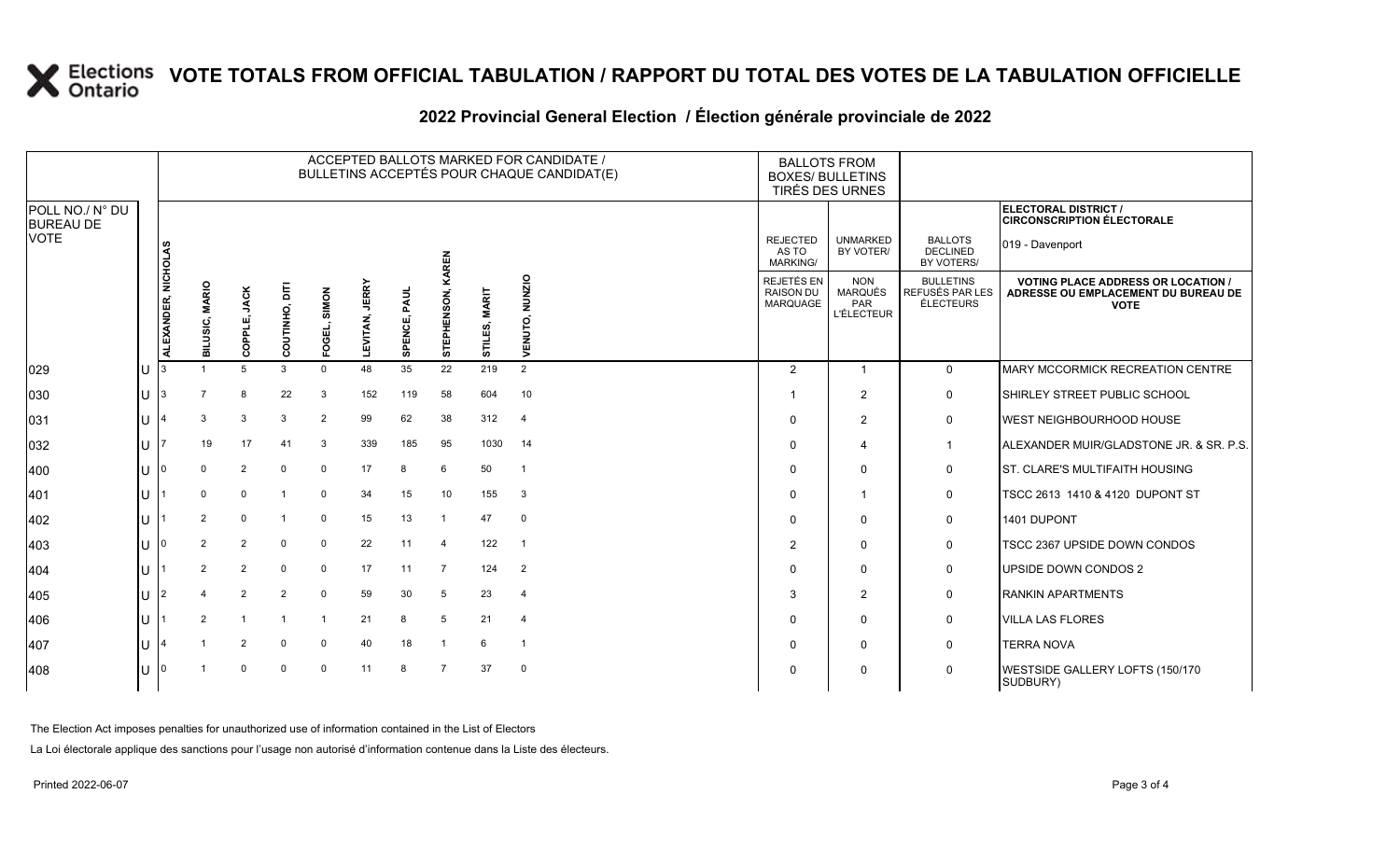# **X** Elections VOTE TOTALS FROM OFFICIAL TABULATION / RAPPORT DU TOTAL DES VOTES DE LA TABULATION OFFICIELLE

|                                     |              |                     |                          |                        |                |                 |                |                 |                         |                         | ACCEPTED BALLOTS MARKED FOR CANDIDATE /<br>BULLETINS ACCEPTÉS POUR CHAQUE CANDIDAT(E) | <b>BALLOTS FROM</b><br><b>BOXES/ BULLETINS</b><br>TIRÉS DES URNES |                                                          |                                                  |                                                                                                 |
|-------------------------------------|--------------|---------------------|--------------------------|------------------------|----------------|-----------------|----------------|-----------------|-------------------------|-------------------------|---------------------------------------------------------------------------------------|-------------------------------------------------------------------|----------------------------------------------------------|--------------------------------------------------|-------------------------------------------------------------------------------------------------|
| POLL NO./ N° DU<br><b>BUREAU DE</b> |              |                     |                          |                        |                |                 |                |                 |                         |                         |                                                                                       |                                                                   |                                                          |                                                  | ELECTORAL DISTRICT /<br><b>CIRCONSCRIPTION ÉLECTORALE</b>                                       |
| <b>VOTE</b>                         |              |                     |                          |                        |                |                 |                |                 | KAREN                   |                         |                                                                                       | <b>REJECTED</b><br>AS TO<br><b>MARKING/</b>                       | <b>UNMARKED</b><br>BY VOTER/                             | <b>BALLOTS</b><br><b>DECLINED</b><br>BY VOTERS/  | 019 - Davenport                                                                                 |
|                                     |              | ALEXANDER, NICHOLAS | <b>MARIO</b><br>BILUSIC, | <b>JACK</b><br>COPPLE, | 툼<br>COUTINHO, | SIMON<br>FOGEL, | LEVITAN, JERRY | PAUL<br>SPENCE, | <b>STEPHENSON</b>       | <b>MARIT</b><br>STILES, | NUNZIO<br>б.<br>Б<br>홊<br>⋗                                                           | REJETÉS EN<br><b>RAISON DU</b><br><b>MARQUAGE</b>                 | <b>NON</b><br>MARQUÉS<br><b>PAR</b><br><b>L'ÉLECTEUR</b> | <b>BULLETINS</b><br>REFUSÉS PAR LES<br>ÉLECTEURS | <b>VOTING PLACE ADDRESS OR LOCATION /</b><br>ADRESSE OU EMPLACEMENT DU BUREAU DE<br><b>VOTE</b> |
| 029                                 | U            |                     | $\overline{1}$           | 5                      | 3              | $\Omega$        | 48             | 35              | 22                      | 219                     | 2                                                                                     | 2                                                                 | 1                                                        | $\mathbf 0$                                      | MARY MCCORMICK RECREATION CENTRE                                                                |
| 030                                 | U            | 13.                 |                          | 8                      | 22             | 3               | 152            | 119             | 58                      | 604                     | 10                                                                                    |                                                                   | 2                                                        | $\mathbf 0$                                      | SHIRLEY STREET PUBLIC SCHOOL                                                                    |
| 031                                 | U            |                     | 3                        | 3                      | 3              | 2               | 99             | 62              | 38                      | 312                     | $\overline{4}$                                                                        | 0                                                                 | 2                                                        | $\mathbf 0$                                      | WEST NEIGHBOURHOOD HOUSE                                                                        |
| 032                                 | ΙU           |                     | 19                       | 17                     | 41             | 3               | 339            | 185             | 95                      | 1030                    | 14                                                                                    | $\mathbf 0$                                                       | 4                                                        | $\mathbf{1}$                                     | ALEXANDER MUIR/GLADSTONE JR. & SR. P.S.                                                         |
| 400                                 |              |                     | $\Omega$                 | 2                      | $\mathbf 0$    | $\mathbf 0$     | 17             | 8               | 6                       | 50                      | $\mathbf{1}$                                                                          | 0                                                                 | 0                                                        | 0                                                | ST. CLARE'S MULTIFAITH HOUSING                                                                  |
| 401                                 |              |                     | $\Omega$                 | 0                      |                | $\mathbf 0$     | 34             | 15              | 10                      | 155                     | $\mathbf{3}$                                                                          | 0                                                                 | 1                                                        | 0                                                | TSCC 2613 1410 & 4120 DUPONT ST                                                                 |
| 402                                 | U            |                     | $\overline{2}$           | $\mathbf 0$            |                | $\Omega$        | 15             | 13              | $\overline{\mathbf{1}}$ | 47                      | $\mathbf{0}$                                                                          | 0                                                                 | $\mathbf{0}$                                             | 0                                                | 1401 DUPONT                                                                                     |
| 403                                 |              |                     | $\overline{2}$           | $\overline{2}$         | $\mathbf 0$    | $\mathbf 0$     | 22             | 11              | $\overline{4}$          | 122                     | $\overline{1}$                                                                        | $\overline{2}$                                                    | $\mathbf 0$                                              | 0                                                | TSCC 2367 UPSIDE DOWN CONDOS                                                                    |
| 404                                 | U            |                     | $\overline{2}$           | $\overline{2}$         | $\Omega$       | $\mathbf 0$     | 17             | 11              | $\overline{7}$          | 124                     | $\overline{2}$                                                                        | $\mathbf 0$                                                       | $\mathbf 0$                                              | 0                                                | UPSIDE DOWN CONDOS 2                                                                            |
| 405                                 | U            |                     | $\overline{a}$           | $\overline{2}$         | 2              | $\Omega$        | 59             | 30              | 5                       | 23                      | $\overline{4}$                                                                        | 3                                                                 | 2                                                        | $\mathbf 0$                                      | <b>RANKIN APARTMENTS</b>                                                                        |
| 406                                 | U            |                     | $\overline{2}$           | $\overline{1}$         |                |                 | 21             | 8               | 5                       | 21                      | $\overline{4}$                                                                        | $\mathbf 0$                                                       | $\mathbf{0}$                                             | 0                                                | <b>VILLA LAS FLORES</b>                                                                         |
| 407                                 | $\mathbf{U}$ |                     |                          | $\overline{2}$         | $\mathbf 0$    | $\mathbf 0$     | 40             | 18              | $\overline{1}$          | 6                       | $\overline{1}$                                                                        | $\mathbf 0$                                                       | $\mathbf{0}$                                             | $\mathbf 0$                                      | <b>TERRA NOVA</b>                                                                               |
| 408                                 |              |                     |                          | $\Omega$               | $\Omega$       | $\Omega$        | 11             | 8               | $\overline{7}$          | 37                      | $\overline{0}$                                                                        | 0                                                                 | 0                                                        | $\mathbf 0$                                      | WESTSIDE GALLERY LOFTS (150/170<br>SUDBURY)                                                     |

### **2022 Provincial General Election / Élection générale provinciale de 2022**

The Election Act imposes penalties for unauthorized use of information contained in the List of Electors